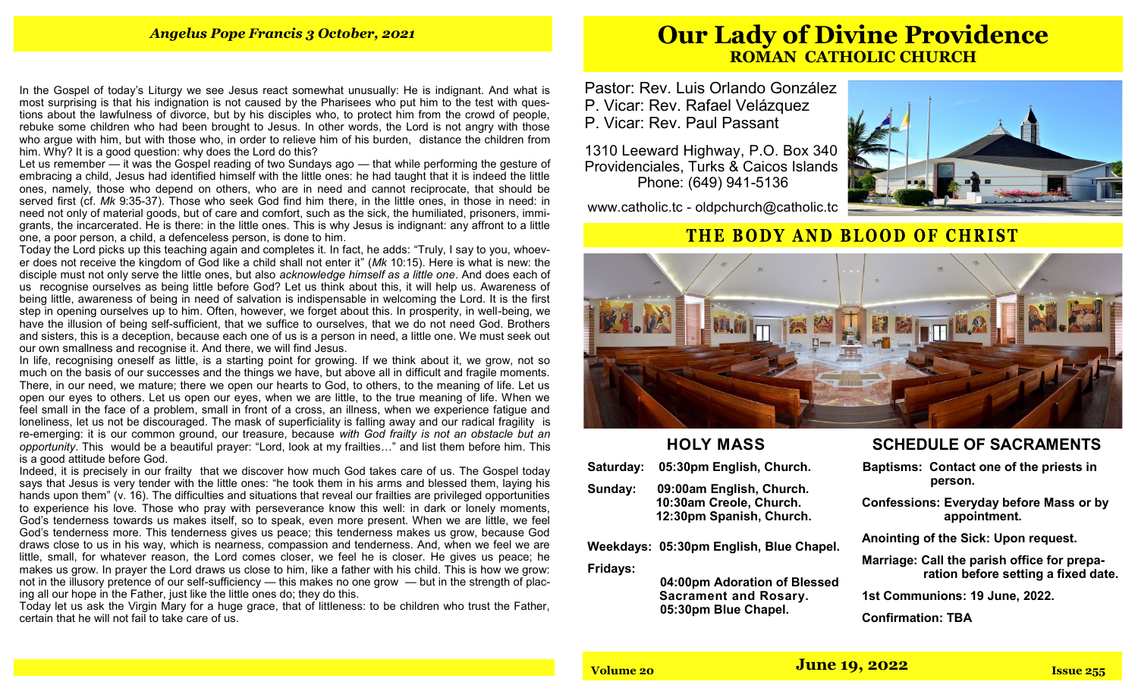In the Gospel of today's Liturgy we see Jesus react somewhat unusually: He is indignant. And what is most surprising is that his indignation is not caused by the Pharisees who put him to the test with questions about the lawfulness of divorce, but by his disciples who, to protect him from the crowd of people, rebuke some children who had been brought to Jesus. In other words, the Lord is not angry with those who argue with him, but with those who, in order to relieve him of his burden, distance the children from him. Why? It is a good question: why does the Lord do this?

Let us remember — it was the Gospel reading of two Sundays ago — that while performing the gesture of embracing a child, Jesus had identified himself with the little ones: he had taught that it is indeed the little ones, namely, those who depend on others, who are in need and cannot reciprocate, that should be served first (cf. *Mk* 9:35-37). Those who seek God find him there, in the little ones, in those in need: in need not only of material goods, but of care and comfort, such as the sick, the humiliated, prisoners, immigrants, the incarcerated. He is there: in the little ones. This is why Jesus is indignant: any affront to a little one, a poor person, a child, a defenceless person, is done to him.

Today the Lord picks up this teaching again and completes it. In fact, he adds: "Truly, I say to you, whoever does not receive the kingdom of God like a child shall not enter it" (*Mk* 10:15). Here is what is new: the disciple must not only serve the little ones, but also *acknowledge himself as a little one*. And does each of us recognise ourselves as being little before God? Let us think about this, it will help us. Awareness of being little, awareness of being in need of salvation is indispensable in welcoming the Lord. It is the first step in opening ourselves up to him. Often, however, we forget about this. In prosperity, in well-being, we have the illusion of being self-sufficient, that we suffice to ourselves, that we do not need God. Brothers and sisters, this is a deception, because each one of us is a person in need, a little one. We must seek out our own smallness and recognise it. And there, we will find Jesus.

In life, recognising oneself as little, is a starting point for growing. If we think about it, we grow, not so much on the basis of our successes and the things we have, but above all in difficult and fragile moments. There, in our need, we mature; there we open our hearts to God, to others, to the meaning of life. Let us open our eyes to others. Let us open our eyes, when we are little, to the true meaning of life. When we feel small in the face of a problem, small in front of a cross, an illness, when we experience fatigue and loneliness, let us not be discouraged. The mask of superficiality is falling away and our radical fragility is re-emerging: it is our common ground, our treasure, because *with God frailty is not an obstacle but an opportunity*. This would be a beautiful prayer: "Lord, look at my frailties…" and list them before him. This is a good attitude before God.

Indeed, it is precisely in our frailty that we discover how much God takes care of us. The Gospel today says that Jesus is very tender with the little ones: "he took them in his arms and blessed them, laying his hands upon them" (v. 16). The difficulties and situations that reveal our frailties are privileged opportunities to experience his love. Those who pray with perseverance know this well: in dark or lonely moments, God's tenderness towards us makes itself, so to speak, even more present. When we are little, we feel God's tenderness more. This tenderness gives us peace; this tenderness makes us grow, because God draws close to us in his way, which is nearness, compassion and tenderness. And, when we feel we are little, small, for whatever reason, the Lord comes closer, we feel he is closer. He gives us peace; he makes us grow. In prayer the Lord draws us close to him, like a father with his child. This is how we grow: not in the illusory pretence of our self-sufficiency — this makes no one grow — but in the strength of placing all our hope in the Father, just like the little ones do; they do this.

Today let us ask the Virgin Mary for a huge grace, that of littleness: to be children who trust the Father, certain that he will not fail to take care of us.

## **Our Lady of Divine Providence ROMAN CATHOLIC CHURCH**

Pastor: Rev. Luis Orlando González

P. Vicar: Rev. Rafael Velázquez

P. Vicar: Rev. Paul Passant

1310 Leeward Highway, P.O. Box 340 Providenciales, Turks & Caicos Islands Phone: (649) 941-5136

www.catholic.tc - oldpchurch@catholic.tc



## THE BODY AND BLOOD OF CHRIST



### **HOLY MASS**

**Saturday: 05:30pm English, Church.**

**Sunday: 09:00am English, Church. 10:30am Creole, Church. 12:30pm Spanish, Church.**

**Weekdays: 05:30pm English, Blue Chapel.**

**Fridays:** 

#### **04:00pm Adoration of Blessed Sacrament and Rosary. 05:30pm Blue Chapel.**

## **SCHEDULE OF SACRAMENTS**

 **Baptisms: Contact one of the priests in person.**

 **Confessions: Everyday before Mass or by appointment.**

 **Anointing of the Sick: Upon request.**

 **Marriage: Call the parish office for prepa ration before setting a fixed date.**

 **1st Communions: 19 June, 2022.** 

 **Confirmation: TBA**